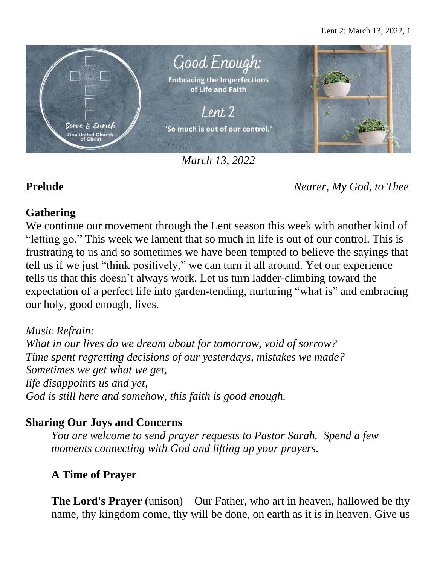

*March 13, 2022*

**Prelude** *Nearer, My God, to Thee*

# **Gathering**

We continue our movement through the Lent season this week with another kind of "letting go." This week we lament that so much in life is out of our control. This is frustrating to us and so sometimes we have been tempted to believe the sayings that tell us if we just "think positively," we can turn it all around. Yet our experience tells us that this doesn't always work. Let us turn ladder-climbing toward the expectation of a perfect life into garden-tending, nurturing "what is" and embracing our holy, good enough, lives.

*Music Refrain: What in our lives do we dream about for tomorrow, void of sorrow? Time spent regretting decisions of our yesterdays, mistakes we made? Sometimes we get what we get, life disappoints us and yet, God is still here and somehow, this faith is good enough.*

# **Sharing Our Joys and Concerns**

*You are welcome to send prayer requests to Pastor Sarah. Spend a few moments connecting with God and lifting up your prayers.*

# **A Time of Prayer**

**The Lord's Prayer** (unison)—Our Father, who art in heaven, hallowed be thy name, thy kingdom come, thy will be done, on earth as it is in heaven. Give us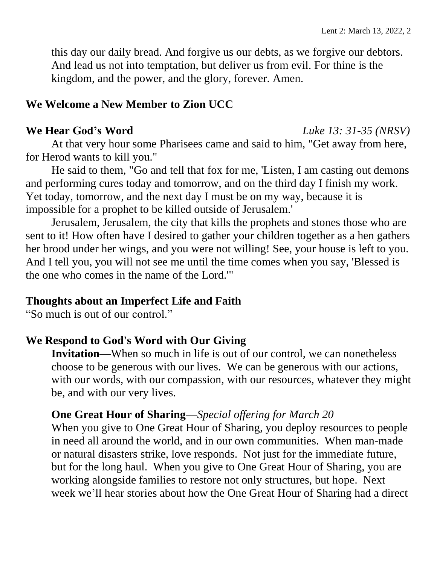this day our daily bread. And forgive us our debts, as we forgive our debtors. And lead us not into temptation, but deliver us from evil. For thine is the kingdom, and the power, and the glory, forever. Amen.

### **We Welcome a New Member to Zion UCC**

At that very hour some Pharisees came and said to him, "Get away from here, for Herod wants to kill you."

He said to them, "Go and tell that fox for me, 'Listen, I am casting out demons and performing cures today and tomorrow, and on the third day I finish my work. Yet today, tomorrow, and the next day I must be on my way, because it is impossible for a prophet to be killed outside of Jerusalem.'

Jerusalem, Jerusalem, the city that kills the prophets and stones those who are sent to it! How often have I desired to gather your children together as a hen gathers her brood under her wings, and you were not willing! See, your house is left to you. And I tell you, you will not see me until the time comes when you say, 'Blessed is the one who comes in the name of the Lord.'"

### **Thoughts about an Imperfect Life and Faith**

"So much is out of our control."

### **We Respond to God's Word with Our Giving**

**Invitation—**When so much in life is out of our control, we can nonetheless choose to be generous with our lives. We can be generous with our actions, with our words, with our compassion, with our resources, whatever they might be, and with our very lives.

### **One Great Hour of Sharing**—*Special offering for March 20*

When you give to One Great Hour of Sharing, you deploy resources to people in need all around the world, and in our own communities. When man-made or natural disasters strike, love responds. Not just for the immediate future, but for the long haul. When you give to One Great Hour of Sharing, you are working alongside families to restore not only structures, but hope. Next week we'll hear stories about how the One Great Hour of Sharing had a direct

#### **We Hear God's Word** *Luke 13: 31-35 (NRSV)*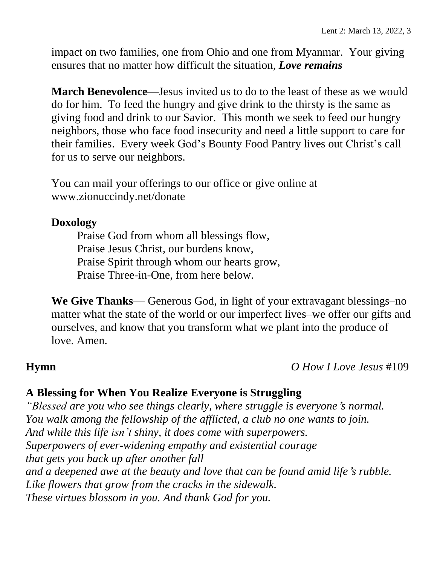impact on two families, one from Ohio and one from Myanmar. Your giving ensures that no matter how difficult the situation, *Love remains*

**March Benevolence**—Jesus invited us to do to the least of these as we would do for him. To feed the hungry and give drink to the thirsty is the same as giving food and drink to our Savior. This month we seek to feed our hungry neighbors, those who face food insecurity and need a little support to care for their families. Every week God's Bounty Food Pantry lives out Christ's call for us to serve our neighbors.

You can mail your offerings to our office or give online at www.zionuccindy.net/donate

### **Doxology**

Praise God from whom all blessings flow, Praise Jesus Christ, our burdens know, Praise Spirit through whom our hearts grow, Praise Three-in-One, from here below.

**We Give Thanks**— Generous God, in light of your extravagant blessings–no matter what the state of the world or our imperfect lives–we offer our gifts and ourselves, and know that you transform what we plant into the produce of love. Amen.

**Hymn** *O How I Love Jesus* #109

## **A Blessing for When You Realize Everyone is Struggling**

*"Blessed are you who see things clearly, where struggle is everyone*'*s normal. You walk among the fellowship of the afflicted, a club no one wants to join. And while this life isn't shiny, it does come with superpowers. Superpowers of ever-widening empathy and existential courage that gets you back up after another fall and a deepened awe at the beauty and love that can be found amid life*'*s rubble. Like flowers that grow from the cracks in the sidewalk. These virtues blossom in you. And thank God for you.*